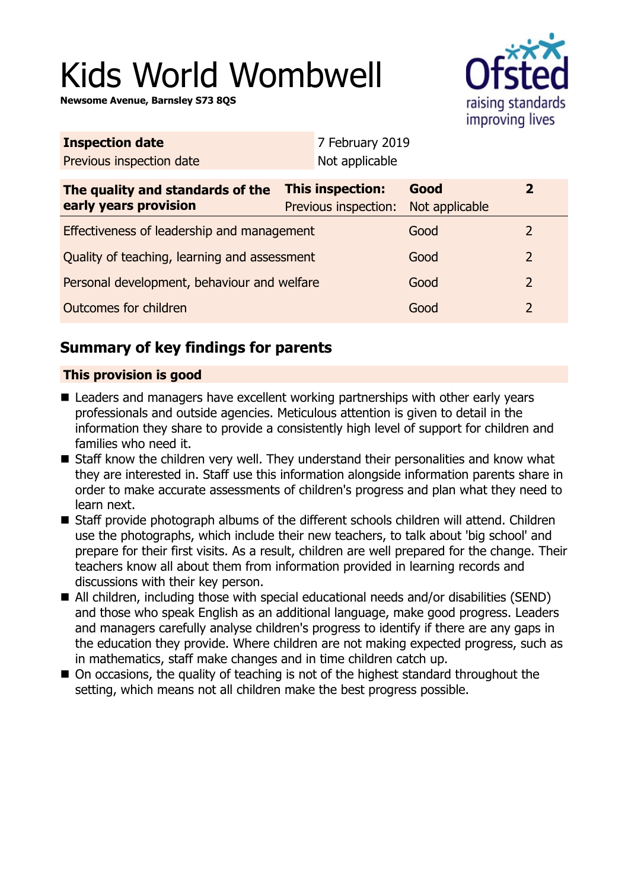# Kids World Wombwell

**Newsome Avenue, Barnsley S73 8QS**



| <b>Inspection date</b>                                    |                                          | 7 February 2019 |                        |                |
|-----------------------------------------------------------|------------------------------------------|-----------------|------------------------|----------------|
| Previous inspection date                                  |                                          | Not applicable  |                        |                |
| The quality and standards of the<br>early years provision | This inspection:<br>Previous inspection: |                 | Good<br>Not applicable | $\overline{2}$ |
| Effectiveness of leadership and management                |                                          |                 | Good                   | 2              |
| Quality of teaching, learning and assessment              |                                          |                 | Good                   | $\overline{2}$ |
| Personal development, behaviour and welfare               |                                          |                 | Good                   | 2              |
| Outcomes for children                                     |                                          |                 | Good                   | $\overline{2}$ |
|                                                           |                                          |                 |                        |                |

## **Summary of key findings for parents**

## **This provision is good**

- Leaders and managers have excellent working partnerships with other early years professionals and outside agencies. Meticulous attention is given to detail in the information they share to provide a consistently high level of support for children and families who need it.
- Staff know the children very well. They understand their personalities and know what they are interested in. Staff use this information alongside information parents share in order to make accurate assessments of children's progress and plan what they need to learn next.
- Staff provide photograph albums of the different schools children will attend. Children use the photographs, which include their new teachers, to talk about 'big school' and prepare for their first visits. As a result, children are well prepared for the change. Their teachers know all about them from information provided in learning records and discussions with their key person.
- All children, including those with special educational needs and/or disabilities (SEND) and those who speak English as an additional language, make good progress. Leaders and managers carefully analyse children's progress to identify if there are any gaps in the education they provide. Where children are not making expected progress, such as in mathematics, staff make changes and in time children catch up.
- On occasions, the quality of teaching is not of the highest standard throughout the setting, which means not all children make the best progress possible.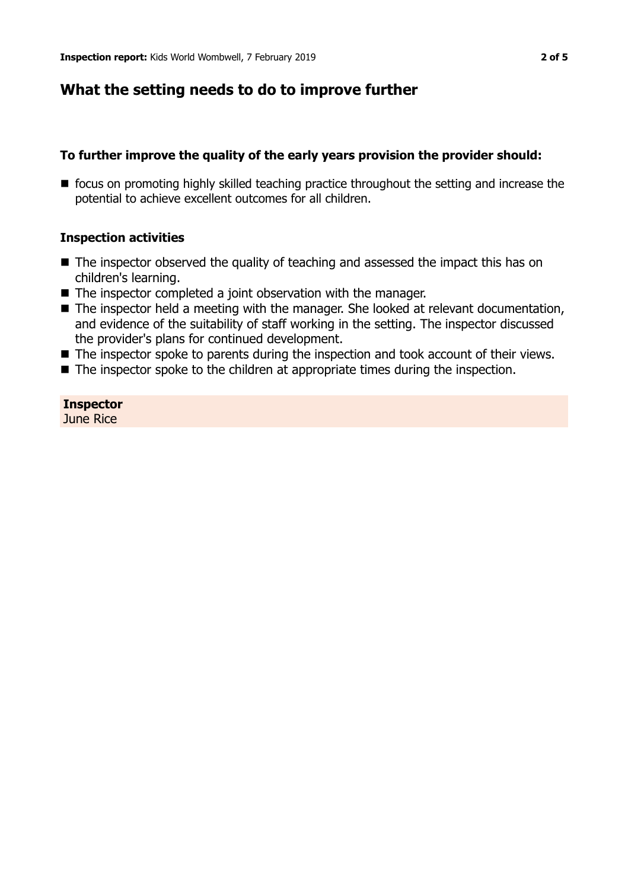## **What the setting needs to do to improve further**

## **To further improve the quality of the early years provision the provider should:**

■ focus on promoting highly skilled teaching practice throughout the setting and increase the potential to achieve excellent outcomes for all children.

#### **Inspection activities**

- $\blacksquare$  The inspector observed the quality of teaching and assessed the impact this has on children's learning.
- $\blacksquare$  The inspector completed a joint observation with the manager.
- The inspector held a meeting with the manager. She looked at relevant documentation, and evidence of the suitability of staff working in the setting. The inspector discussed the provider's plans for continued development.
- $\blacksquare$  The inspector spoke to parents during the inspection and took account of their views.
- $\blacksquare$  The inspector spoke to the children at appropriate times during the inspection.

## **Inspector**

June Rice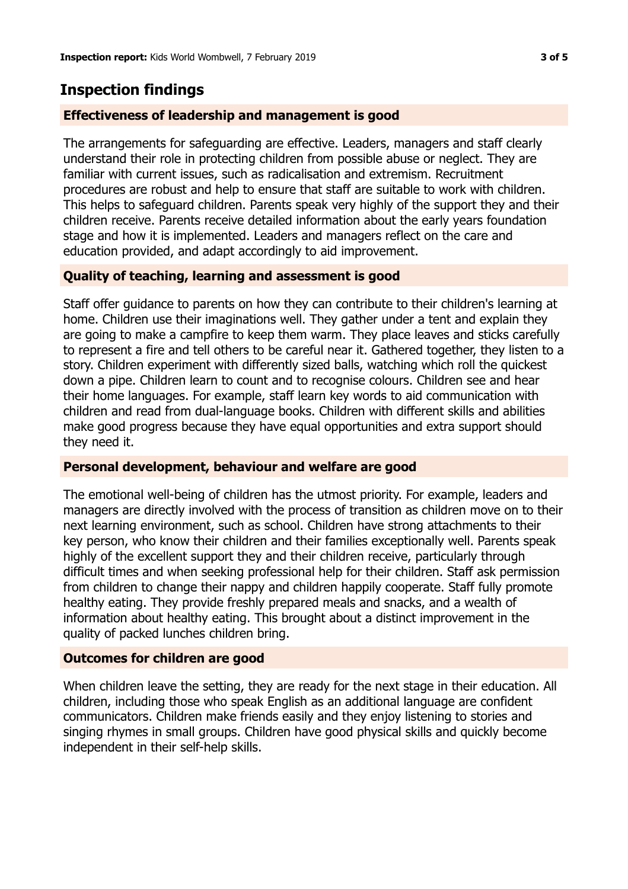## **Inspection findings**

#### **Effectiveness of leadership and management is good**

The arrangements for safeguarding are effective. Leaders, managers and staff clearly understand their role in protecting children from possible abuse or neglect. They are familiar with current issues, such as radicalisation and extremism. Recruitment procedures are robust and help to ensure that staff are suitable to work with children. This helps to safeguard children. Parents speak very highly of the support they and their children receive. Parents receive detailed information about the early years foundation stage and how it is implemented. Leaders and managers reflect on the care and education provided, and adapt accordingly to aid improvement.

#### **Quality of teaching, learning and assessment is good**

Staff offer guidance to parents on how they can contribute to their children's learning at home. Children use their imaginations well. They gather under a tent and explain they are going to make a campfire to keep them warm. They place leaves and sticks carefully to represent a fire and tell others to be careful near it. Gathered together, they listen to a story. Children experiment with differently sized balls, watching which roll the quickest down a pipe. Children learn to count and to recognise colours. Children see and hear their home languages. For example, staff learn key words to aid communication with children and read from dual-language books. Children with different skills and abilities make good progress because they have equal opportunities and extra support should they need it.

## **Personal development, behaviour and welfare are good**

The emotional well-being of children has the utmost priority. For example, leaders and managers are directly involved with the process of transition as children move on to their next learning environment, such as school. Children have strong attachments to their key person, who know their children and their families exceptionally well. Parents speak highly of the excellent support they and their children receive, particularly through difficult times and when seeking professional help for their children. Staff ask permission from children to change their nappy and children happily cooperate. Staff fully promote healthy eating. They provide freshly prepared meals and snacks, and a wealth of information about healthy eating. This brought about a distinct improvement in the quality of packed lunches children bring.

## **Outcomes for children are good**

When children leave the setting, they are ready for the next stage in their education. All children, including those who speak English as an additional language are confident communicators. Children make friends easily and they enjoy listening to stories and singing rhymes in small groups. Children have good physical skills and quickly become independent in their self-help skills.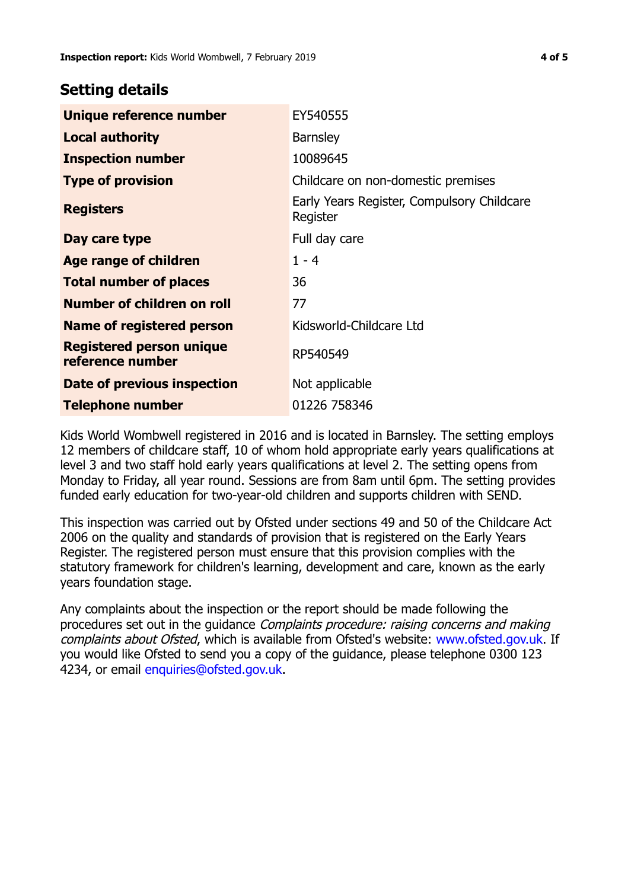## **Setting details**

| Unique reference number                             | EY540555                                               |  |
|-----------------------------------------------------|--------------------------------------------------------|--|
| <b>Local authority</b>                              | <b>Barnsley</b>                                        |  |
| <b>Inspection number</b>                            | 10089645                                               |  |
| <b>Type of provision</b>                            | Childcare on non-domestic premises                     |  |
| <b>Registers</b>                                    | Early Years Register, Compulsory Childcare<br>Register |  |
| Day care type                                       | Full day care                                          |  |
| Age range of children                               | $1 - 4$                                                |  |
| <b>Total number of places</b>                       | 36                                                     |  |
| Number of children on roll                          | 77                                                     |  |
| Name of registered person                           | Kidsworld-Childcare Ltd                                |  |
| <b>Registered person unique</b><br>reference number | RP540549                                               |  |
| Date of previous inspection                         | Not applicable                                         |  |
| Telephone number                                    | 01226 758346                                           |  |

Kids World Wombwell registered in 2016 and is located in Barnsley. The setting employs 12 members of childcare staff, 10 of whom hold appropriate early years qualifications at level 3 and two staff hold early years qualifications at level 2. The setting opens from Monday to Friday, all year round. Sessions are from 8am until 6pm. The setting provides funded early education for two-year-old children and supports children with SEND.

This inspection was carried out by Ofsted under sections 49 and 50 of the Childcare Act 2006 on the quality and standards of provision that is registered on the Early Years Register. The registered person must ensure that this provision complies with the statutory framework for children's learning, development and care, known as the early years foundation stage.

Any complaints about the inspection or the report should be made following the procedures set out in the guidance Complaints procedure: raising concerns and making complaints about Ofsted, which is available from Ofsted's website: www.ofsted.gov.uk. If you would like Ofsted to send you a copy of the guidance, please telephone 0300 123 4234, or email [enquiries@ofsted.gov.uk.](mailto:enquiries@ofsted.gov.uk)